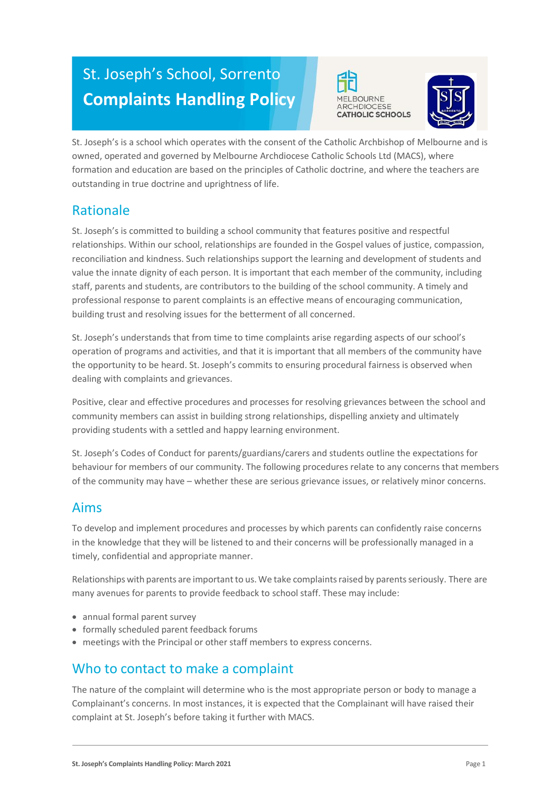# St. Joseph's School, Sorrento **Complaints Handling Policy**





St. Joseph's is a school which operates with the consent of the Catholic Archbishop of Melbourne and is owned, operated and governed by Melbourne Archdiocese Catholic Schools Ltd (MACS), where formation and education are based on the principles of Catholic doctrine, and where the teachers are outstanding in true doctrine and uprightness of life.

# Rationale

St. Joseph's is committed to building a school community that features positive and respectful relationships. Within our school, relationships are founded in the Gospel values of justice, compassion, reconciliation and kindness. Such relationships support the learning and development of students and value the innate dignity of each person. It is important that each member of the community, including staff, parents and students, are contributors to the building of the school community. A timely and professional response to parent complaints is an effective means of encouraging communication, building trust and resolving issues for the betterment of all concerned.

St. Joseph's understands that from time to time complaints arise regarding aspects of our school's operation of programs and activities, and that it is important that all members of the community have the opportunity to be heard. St. Joseph's commits to ensuring procedural fairness is observed when dealing with complaints and grievances.

Positive, clear and effective procedures and processes for resolving grievances between the school and community members can assist in building strong relationships, dispelling anxiety and ultimately providing students with a settled and happy learning environment.

St. Joseph's Codes of Conduct for parents/guardians/carers and students outline the expectations for behaviour for members of our community. The following procedures relate to any concerns that members of the community may have – whether these are serious grievance issues, or relatively minor concerns.

### Aims

To develop and implement procedures and processes by which parents can confidently raise concerns in the knowledge that they will be listened to and their concerns will be professionally managed in a timely, confidential and appropriate manner.

Relationships with parents are important to us. We take complaints raised by parents seriously. There are many avenues for parents to provide feedback to school staff. These may include:

- annual formal parent survey
- formally scheduled parent feedback forums
- meetings with the Principal or other staff members to express concerns.

# Who to contact to make a complaint

The nature of the complaint will determine who is the most appropriate person or body to manage a Complainant's concerns. In most instances, it is expected that the Complainant will have raised their complaint at St. Joseph's before taking it further with MACS.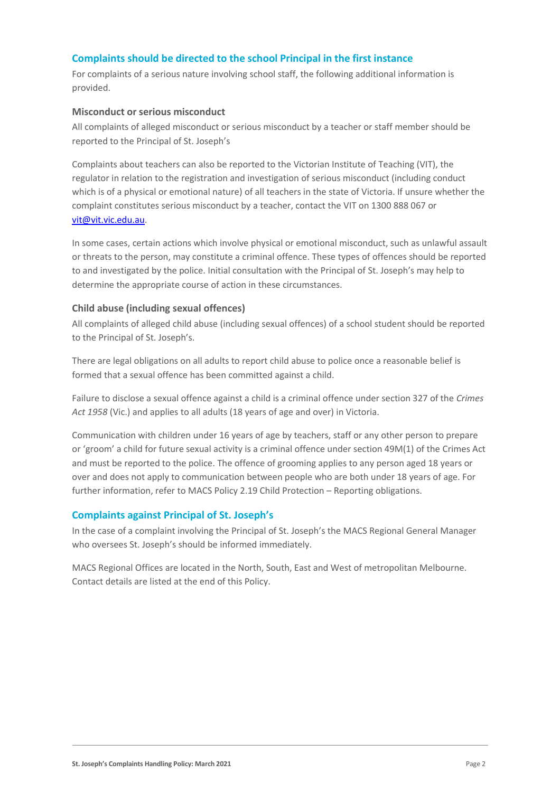#### **Complaints should be directed to the school Principal in the first instance**

For complaints of a serious nature involving school staff, the following additional information is provided.

#### **Misconduct or serious misconduct**

All complaints of alleged misconduct or serious misconduct by a teacher or staff member should be reported to the Principal of St. Joseph's

Complaints about teachers can also be reported to the Victorian Institute of Teaching (VIT), the regulator in relation to the registration and investigation of serious misconduct (including conduct which is of a physical or emotional nature) of all teachers in the state of Victoria. If unsure whether the complaint constitutes serious misconduct by a teacher, contact the VIT on 1300 888 067 or [vit@vit.vic.edu.au.](mailto:vit@vit.vic.edu.au)

In some cases, certain actions which involve physical or emotional misconduct, such as unlawful assault or threats to the person, may constitute a criminal offence. These types of offences should be reported to and investigated by the police. Initial consultation with the Principal of St. Joseph's may help to determine the appropriate course of action in these circumstances.

#### **Child abuse (including sexual offences)**

All complaints of alleged child abuse (including sexual offences) of a school student should be reported to the Principal of St. Joseph's.

There are legal obligations on all adults to report child abuse to police once a reasonable belief is formed that a sexual offence has been committed against a child.

Failure to disclose a sexual offence against a child is a criminal offence under section 327 of the *Crimes Act 1958* (Vic.) and applies to all adults (18 years of age and over) in Victoria.

Communication with children under 16 years of age by teachers, staff or any other person to prepare or 'groom' a child for future sexual activity is a criminal offence under section 49M(1) of the Crimes Act and must be reported to the police. The offence of grooming applies to any person aged 18 years or over and does not apply to communication between people who are both under 18 years of age. For further information, refer to MACS Policy 2.19 Child Protection – Reporting obligations.

#### **Complaints against Principal of St. Joseph's**

In the case of a complaint involving the Principal of St. Joseph's the MACS Regional General Manager who oversees St. Joseph's should be informed immediately.

MACS Regional Offices are located in the North, South, East and West of metropolitan Melbourne. Contact details are listed at the end of this Policy.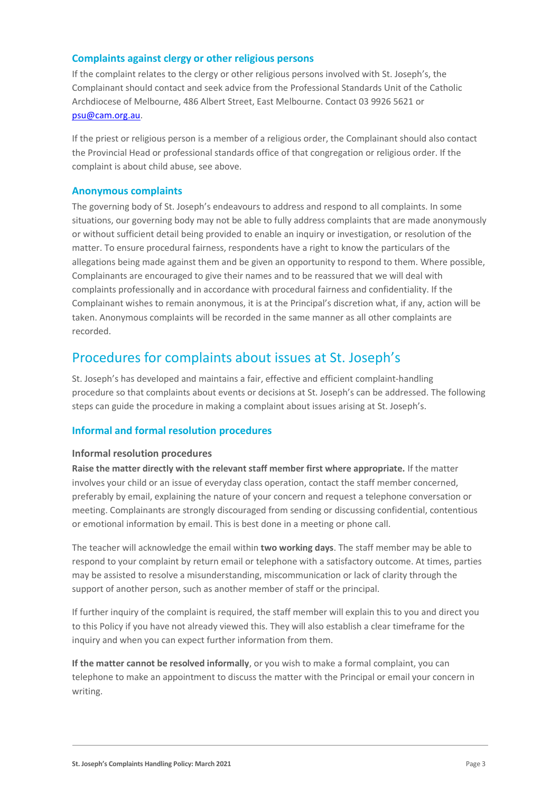#### **Complaints against clergy or other religious persons**

If the complaint relates to the clergy or other religious persons involved with St. Joseph's, the Complainant should contact and seek advice from the Professional Standards Unit of the Catholic Archdiocese of Melbourne, 486 Albert Street, East Melbourne. Contact 03 9926 5621 or [psu@cam.org.au.](mailto:psu@cam.org.au)

If the priest or religious person is a member of a religious order, the Complainant should also contact the Provincial Head or professional standards office of that congregation or religious order. If the complaint is about child abuse, see above.

#### **Anonymous complaints**

The governing body of St. Joseph's endeavours to address and respond to all complaints. In some situations, our governing body may not be able to fully address complaints that are made anonymously or without sufficient detail being provided to enable an inquiry or investigation, or resolution of the matter. To ensure procedural fairness, respondents have a right to know the particulars of the allegations being made against them and be given an opportunity to respond to them. Where possible, Complainants are encouraged to give their names and to be reassured that we will deal with complaints professionally and in accordance with procedural fairness and confidentiality. If the Complainant wishes to remain anonymous, it is at the Principal's discretion what, if any, action will be taken. Anonymous complaints will be recorded in the same manner as all other complaints are recorded.

### Procedures for complaints about issues at St. Joseph's

St. Joseph's has developed and maintains a fair, effective and efficient complaint-handling procedure so that complaints about events or decisions at St. Joseph's can be addressed. The following steps can guide the procedure in making a complaint about issues arising at St. Joseph's.

#### **Informal and formal resolution procedures**

#### **Informal resolution procedures**

**Raise the matter directly with the relevant staff member first where appropriate.** If the matter involves your child or an issue of everyday class operation, contact the staff member concerned, preferably by email, explaining the nature of your concern and request a telephone conversation or meeting. Complainants are strongly discouraged from sending or discussing confidential, contentious or emotional information by email. This is best done in a meeting or phone call.

The teacher will acknowledge the email within **two working days**. The staff member may be able to respond to your complaint by return email or telephone with a satisfactory outcome. At times, parties may be assisted to resolve a misunderstanding, miscommunication or lack of clarity through the support of another person, such as another member of staff or the principal.

If further inquiry of the complaint is required, the staff member will explain this to you and direct you to this Policy if you have not already viewed this. They will also establish a clear timeframe for the inquiry and when you can expect further information from them.

**If the matter cannot be resolved informally**, or you wish to make a formal complaint, you can telephone to make an appointment to discuss the matter with the Principal or email your concern in writing.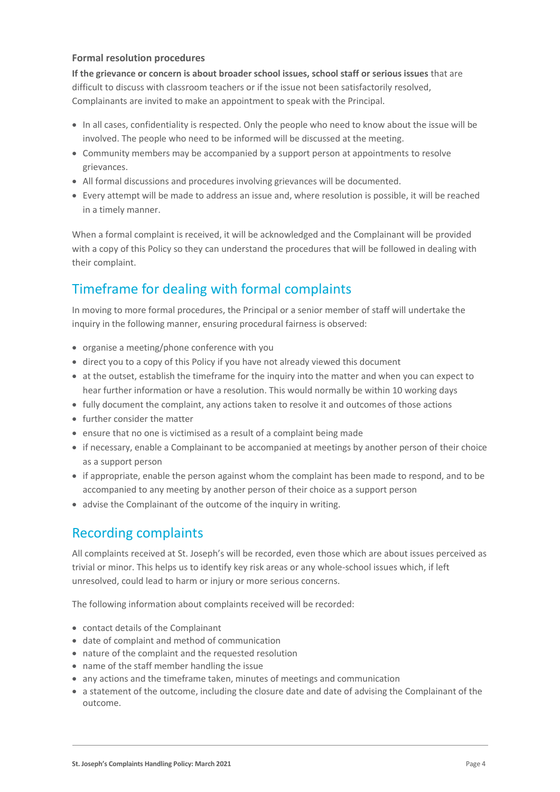#### **Formal resolution procedures**

**If the grievance or concern is about broader school issues, school staff or serious issues** that are difficult to discuss with classroom teachers or if the issue not been satisfactorily resolved, Complainants are invited to make an appointment to speak with the Principal.

- In all cases, confidentiality is respected. Only the people who need to know about the issue will be involved. The people who need to be informed will be discussed at the meeting.
- Community members may be accompanied by a support person at appointments to resolve grievances.
- All formal discussions and procedures involving grievances will be documented.
- Every attempt will be made to address an issue and, where resolution is possible, it will be reached in a timely manner.

When a formal complaint is received, it will be acknowledged and the Complainant will be provided with a copy of this Policy so they can understand the procedures that will be followed in dealing with their complaint.

# Timeframe for dealing with formal complaints

In moving to more formal procedures, the Principal or a senior member of staff will undertake the inquiry in the following manner, ensuring procedural fairness is observed:

- organise a meeting/phone conference with you
- direct you to a copy of this Policy if you have not already viewed this document
- at the outset, establish the timeframe for the inquiry into the matter and when you can expect to hear further information or have a resolution. This would normally be within 10 working days
- fully document the complaint, any actions taken to resolve it and outcomes of those actions
- further consider the matter
- ensure that no one is victimised as a result of a complaint being made
- if necessary, enable a Complainant to be accompanied at meetings by another person of their choice as a support person
- if appropriate, enable the person against whom the complaint has been made to respond, and to be accompanied to any meeting by another person of their choice as a support person
- advise the Complainant of the outcome of the inquiry in writing.

# Recording complaints

All complaints received at St. Joseph's will be recorded, even those which are about issues perceived as trivial or minor. This helps us to identify key risk areas or any whole-school issues which, if left unresolved, could lead to harm or injury or more serious concerns.

The following information about complaints received will be recorded:

- contact details of the Complainant
- date of complaint and method of communication
- nature of the complaint and the requested resolution
- name of the staff member handling the issue
- any actions and the timeframe taken, minutes of meetings and communication
- a statement of the outcome, including the closure date and date of advising the Complainant of the outcome.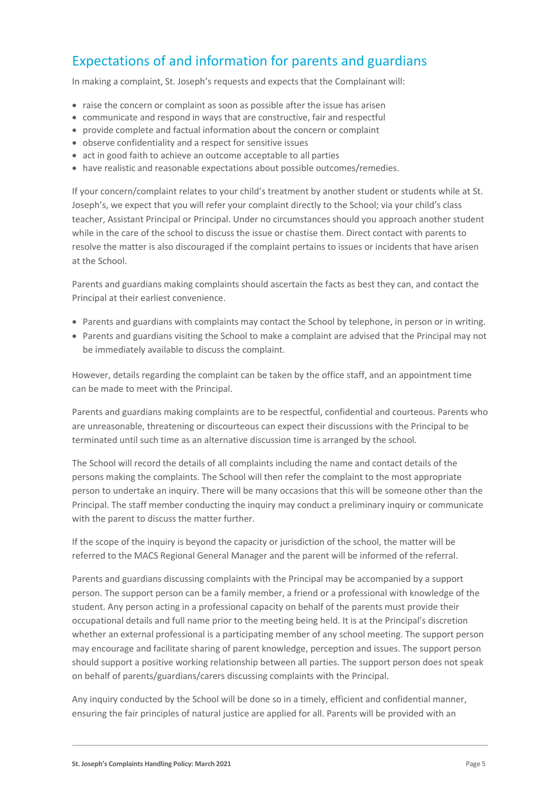# Expectations of and information for parents and guardians

In making a complaint, St. Joseph's requests and expects that the Complainant will:

- raise the concern or complaint as soon as possible after the issue has arisen
- communicate and respond in ways that are constructive, fair and respectful
- provide complete and factual information about the concern or complaint
- observe confidentiality and a respect for sensitive issues
- act in good faith to achieve an outcome acceptable to all parties
- have realistic and reasonable expectations about possible outcomes/remedies.

If your concern/complaint relates to your child's treatment by another student or students while at St. Joseph's, we expect that you will refer your complaint directly to the School; via your child's class teacher, Assistant Principal or Principal. Under no circumstances should you approach another student while in the care of the school to discuss the issue or chastise them. Direct contact with parents to resolve the matter is also discouraged if the complaint pertains to issues or incidents that have arisen at the School.

Parents and guardians making complaints should ascertain the facts as best they can, and contact the Principal at their earliest convenience.

- Parents and guardians with complaints may contact the School by telephone, in person or in writing.
- Parents and guardians visiting the School to make a complaint are advised that the Principal may not be immediately available to discuss the complaint.

However, details regarding the complaint can be taken by the office staff, and an appointment time can be made to meet with the Principal.

Parents and guardians making complaints are to be respectful, confidential and courteous. Parents who are unreasonable, threatening or discourteous can expect their discussions with the Principal to be terminated until such time as an alternative discussion time is arranged by the school.

The School will record the details of all complaints including the name and contact details of the persons making the complaints. The School will then refer the complaint to the most appropriate person to undertake an inquiry. There will be many occasions that this will be someone other than the Principal. The staff member conducting the inquiry may conduct a preliminary inquiry or communicate with the parent to discuss the matter further.

If the scope of the inquiry is beyond the capacity or jurisdiction of the school, the matter will be referred to the MACS Regional General Manager and the parent will be informed of the referral.

Parents and guardians discussing complaints with the Principal may be accompanied by a support person. The support person can be a family member, a friend or a professional with knowledge of the student. Any person acting in a professional capacity on behalf of the parents must provide their occupational details and full name prior to the meeting being held. It is at the Principal's discretion whether an external professional is a participating member of any school meeting. The support person may encourage and facilitate sharing of parent knowledge, perception and issues. The support person should support a positive working relationship between all parties. The support person does not speak on behalf of parents/guardians/carers discussing complaints with the Principal.

Any inquiry conducted by the School will be done so in a timely, efficient and confidential manner, ensuring the fair principles of natural justice are applied for all. Parents will be provided with an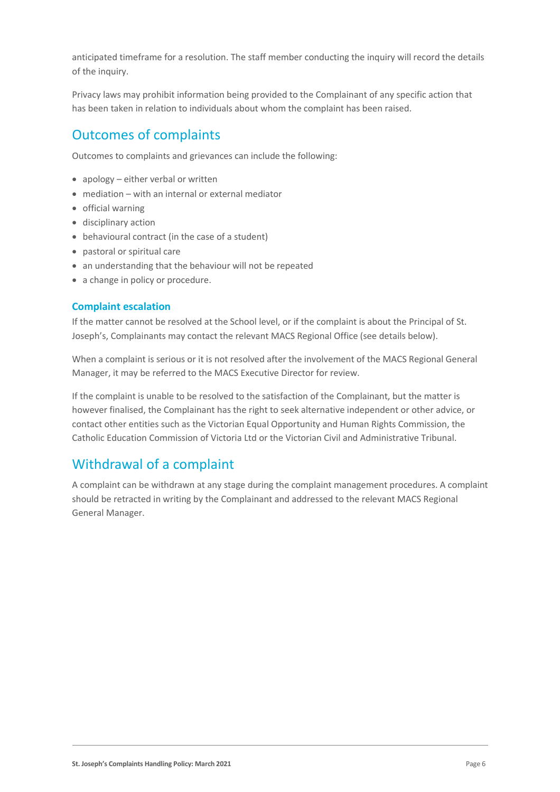anticipated timeframe for a resolution. The staff member conducting the inquiry will record the details of the inquiry.

Privacy laws may prohibit information being provided to the Complainant of any specific action that has been taken in relation to individuals about whom the complaint has been raised.

## Outcomes of complaints

Outcomes to complaints and grievances can include the following:

- apology either verbal or written
- mediation with an internal or external mediator
- official warning
- disciplinary action
- behavioural contract (in the case of a student)
- pastoral or spiritual care
- an understanding that the behaviour will not be repeated
- a change in policy or procedure.

#### **Complaint escalation**

If the matter cannot be resolved at the School level, or if the complaint is about the Principal of St. Joseph's, Complainants may contact the relevant MACS Regional Office (see details below).

When a complaint is serious or it is not resolved after the involvement of the MACS Regional General Manager, it may be referred to the MACS Executive Director for review.

If the complaint is unable to be resolved to the satisfaction of the Complainant, but the matter is however finalised, the Complainant has the right to seek alternative independent or other advice, or contact other entities such as the Victorian Equal Opportunity and Human Rights Commission, the Catholic Education Commission of Victoria Ltd or the Victorian Civil and Administrative Tribunal.

### Withdrawal of a complaint

A complaint can be withdrawn at any stage during the complaint management procedures. A complaint should be retracted in writing by the Complainant and addressed to the relevant MACS Regional General Manager.